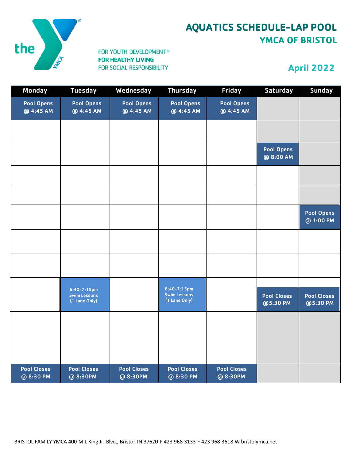

## **AQUATICS SCHEDULE-LAP POOL YMCA OF BRISTOL**

#### FOR YOUTH DEVELOPMENT® **FOR HEALTHY LIVING** FOR SOCIAL RESPONSIBILITY

## **April 2022**

| Monday                          | <b>Tuesday</b>                                           | Wednesday                      | <b>Thursday</b>                                          | Friday                         | <b>Saturday</b>                | <b>Sunday</b>                  |
|---------------------------------|----------------------------------------------------------|--------------------------------|----------------------------------------------------------|--------------------------------|--------------------------------|--------------------------------|
| <b>Pool Opens</b><br>@ 4:45 AM  | Pool Opens<br>@ 4:45 AM                                  | Pool Opens<br>@ 4:45 AM        | <b>Pool Opens</b><br>@ 4:45 AM                           | <b>Pool Opens</b><br>@ 4:45 AM |                                |                                |
|                                 |                                                          |                                |                                                          |                                |                                |                                |
|                                 |                                                          |                                |                                                          |                                | <b>Pool Opens</b><br>@ 8:00 AM |                                |
|                                 |                                                          |                                |                                                          |                                |                                |                                |
|                                 |                                                          |                                |                                                          |                                |                                |                                |
|                                 |                                                          |                                |                                                          |                                |                                | <b>Pool Opens</b><br>@ 1:00 PM |
|                                 |                                                          |                                |                                                          |                                |                                |                                |
|                                 |                                                          |                                |                                                          |                                |                                |                                |
|                                 | $6:40 - 7:15$ pm<br><b>Swim Lessons</b><br>(1 Lane Only) |                                | $6:40 - 7:15$ pm<br><b>Swim Lessons</b><br>(1 Lane Only) |                                | <b>Pool Closes</b><br>@5:30 PM | <b>Pool Closes</b><br>@5:30 PM |
|                                 |                                                          |                                |                                                          |                                |                                |                                |
|                                 |                                                          |                                |                                                          |                                |                                |                                |
|                                 |                                                          |                                |                                                          |                                |                                |                                |
| <b>Pool Closes</b><br>@ 8:30 PM | <b>Pool Closes</b><br>@ 8:30PM                           | <b>Pool Closes</b><br>@ 8:30PM | <b>Pool Closes</b><br>@ 8:30 PM                          | <b>Pool Closes</b><br>@ 8:30PM |                                |                                |